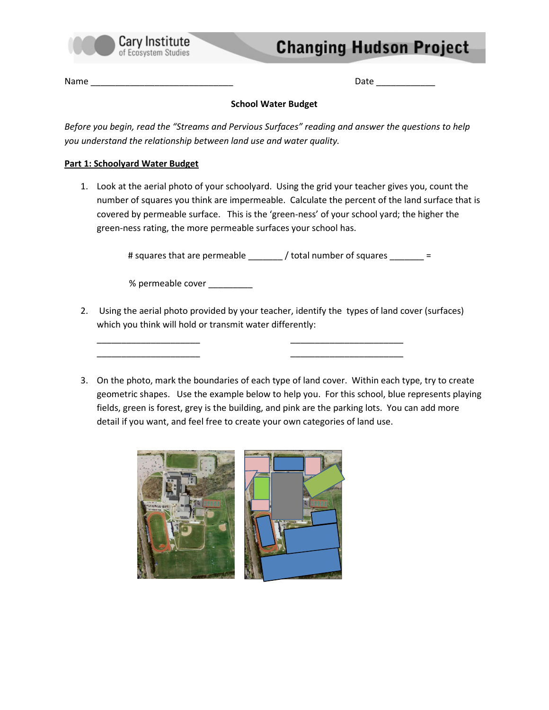

# **Changing Hudson Project**

Name \_\_\_\_\_\_\_\_\_\_\_\_\_\_\_\_\_\_\_\_\_\_\_\_\_\_\_\_\_ Date \_\_\_\_\_\_\_\_\_\_\_\_

### School Water Budget

Before you begin, read the "Streams and Pervious Surfaces" reading and answer the questions to help you understand the relationship between land use and water quality.

### Part 1: Schoolyard Water Budget

1. Look at the aerial photo of your schoolyard. Using the grid your teacher gives you, count the number of squares you think are impermeable. Calculate the percent of the land surface that is covered by permeable surface. This is the 'green-ness' of your school yard; the higher the green-ness rating, the more permeable surfaces your school has.

# squares that are permeable \_\_\_\_\_\_\_ / total number of squares \_\_\_\_\_\_\_ =

% permeable cover \_\_\_\_\_\_\_\_\_\_

2. Using the aerial photo provided by your teacher, identify the types of land cover (surfaces) which you think will hold or transmit water differently:

\_\_\_\_\_\_\_\_\_\_\_\_\_\_\_\_\_\_\_\_\_ \_\_\_\_\_\_\_\_\_\_\_\_\_\_\_\_\_\_\_\_\_\_\_ \_\_\_\_\_\_\_\_\_\_\_\_\_\_\_\_\_\_\_\_\_ \_\_\_\_\_\_\_\_\_\_\_\_\_\_\_\_\_\_\_\_\_\_\_

3. On the photo, mark the boundaries of each type of land cover. Within each type, try to create geometric shapes. Use the example below to help you. For this school, blue represents playing fields, green is forest, grey is the building, and pink are the parking lots. You can add more detail if you want, and feel free to create your own categories of land use.

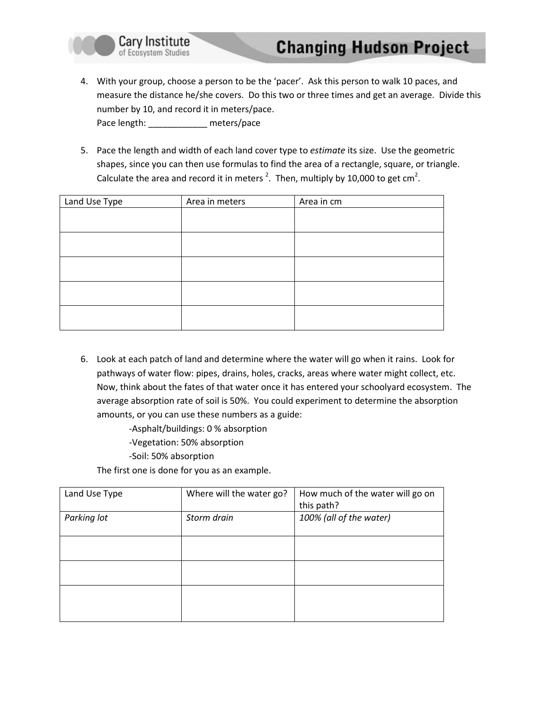

- 4. With your group, choose a person to be the 'pacer'. Ask this person to walk 10 paces, and measure the distance he/she covers. Do this two or three times and get an average. Divide this number by 10, and record it in meters/pace. Pace length: \_\_\_\_\_\_\_\_\_\_\_\_\_\_ meters/pace
- 5. Pace the length and width of each land cover type to estimate its size. Use the geometric shapes, since you can then use formulas to find the area of a rectangle, square, or triangle. Calculate the area and record it in meters<sup>2</sup>. Then, multiply by 10,000 to get cm<sup>2</sup>.

| Land Use Type | Area in meters | Area in cm |
|---------------|----------------|------------|
|               |                |            |
|               |                |            |
|               |                |            |
|               |                |            |
|               |                |            |
|               |                |            |
|               |                |            |
|               |                |            |
|               |                |            |

- 6. Look at each patch of land and determine where the water will go when it rains. Look for pathways of water flow: pipes, drains, holes, cracks, areas where water might collect, etc. Now, think about the fates of that water once it has entered your schoolyard ecosystem. The average absorption rate of soil is 50%. You could experiment to determine the absorption amounts, or you can use these numbers as a guide:
	- -Asphalt/buildings: 0 % absorption
	- -Vegetation: 50% absorption
	- -Soil: 50% absorption

The first one is done for you as an example.

| Land Use Type | Where will the water go? | How much of the water will go on |
|---------------|--------------------------|----------------------------------|
|               |                          | this path?                       |
| Parking lot   | Storm drain              | 100% (all of the water)          |
|               |                          |                                  |
|               |                          |                                  |
|               |                          |                                  |
|               |                          |                                  |
|               |                          |                                  |
|               |                          |                                  |
|               |                          |                                  |
|               |                          |                                  |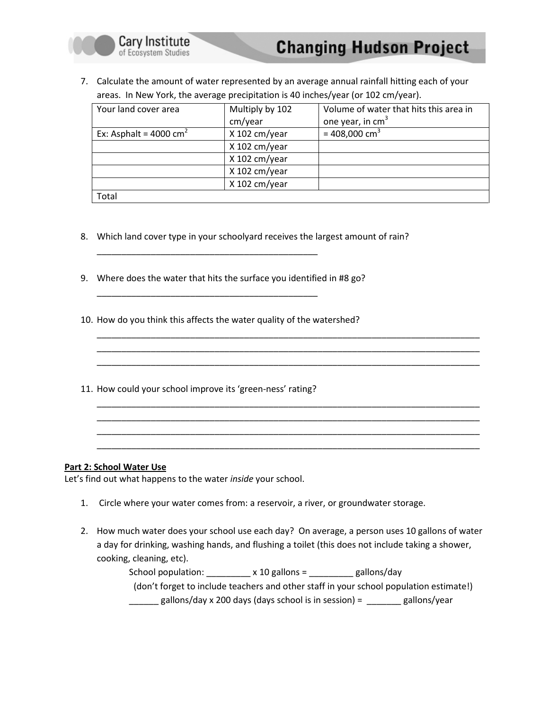

7. Calculate the amount of water represented by an average annual rainfall hitting each of your areas. In New York, the average precipitation is 40 inches/year (or 102 cm/year).

| Your land cover area              | Multiply by 102 | Volume of water that hits this area in |
|-----------------------------------|-----------------|----------------------------------------|
|                                   | cm/year         | one year, in $cm3$                     |
| Ex: Asphalt = $4000 \text{ cm}^2$ | X 102 cm/year   | = 408,000 cm <sup>3</sup>              |
|                                   | X 102 cm/year   |                                        |
|                                   | X 102 cm/year   |                                        |
|                                   | $X$ 102 cm/year |                                        |
|                                   | X 102 cm/year   |                                        |
| Total                             |                 |                                        |

\_\_\_\_\_\_\_\_\_\_\_\_\_\_\_\_\_\_\_\_\_\_\_\_\_\_\_\_\_\_\_\_\_\_\_\_\_\_\_\_\_\_\_\_\_\_\_\_\_\_\_\_\_\_\_\_\_\_\_\_\_\_\_\_\_\_\_\_\_\_\_\_\_\_\_\_\_\_ \_\_\_\_\_\_\_\_\_\_\_\_\_\_\_\_\_\_\_\_\_\_\_\_\_\_\_\_\_\_\_\_\_\_\_\_\_\_\_\_\_\_\_\_\_\_\_\_\_\_\_\_\_\_\_\_\_\_\_\_\_\_\_\_\_\_\_\_\_\_\_\_\_\_\_\_\_\_ \_\_\_\_\_\_\_\_\_\_\_\_\_\_\_\_\_\_\_\_\_\_\_\_\_\_\_\_\_\_\_\_\_\_\_\_\_\_\_\_\_\_\_\_\_\_\_\_\_\_\_\_\_\_\_\_\_\_\_\_\_\_\_\_\_\_\_\_\_\_\_\_\_\_\_\_\_\_

\_\_\_\_\_\_\_\_\_\_\_\_\_\_\_\_\_\_\_\_\_\_\_\_\_\_\_\_\_\_\_\_\_\_\_\_\_\_\_\_\_\_\_\_\_\_\_\_\_\_\_\_\_\_\_\_\_\_\_\_\_\_\_\_\_\_\_\_\_\_\_\_\_\_\_\_\_\_ \_\_\_\_\_\_\_\_\_\_\_\_\_\_\_\_\_\_\_\_\_\_\_\_\_\_\_\_\_\_\_\_\_\_\_\_\_\_\_\_\_\_\_\_\_\_\_\_\_\_\_\_\_\_\_\_\_\_\_\_\_\_\_\_\_\_\_\_\_\_\_\_\_\_\_\_\_\_ \_\_\_\_\_\_\_\_\_\_\_\_\_\_\_\_\_\_\_\_\_\_\_\_\_\_\_\_\_\_\_\_\_\_\_\_\_\_\_\_\_\_\_\_\_\_\_\_\_\_\_\_\_\_\_\_\_\_\_\_\_\_\_\_\_\_\_\_\_\_\_\_\_\_\_\_\_\_ \_\_\_\_\_\_\_\_\_\_\_\_\_\_\_\_\_\_\_\_\_\_\_\_\_\_\_\_\_\_\_\_\_\_\_\_\_\_\_\_\_\_\_\_\_\_\_\_\_\_\_\_\_\_\_\_\_\_\_\_\_\_\_\_\_\_\_\_\_\_\_\_\_\_\_\_\_\_

- 8. Which land cover type in your schoolyard receives the largest amount of rain?
- 9. Where does the water that hits the surface you identified in #8 go?

\_\_\_\_\_\_\_\_\_\_\_\_\_\_\_\_\_\_\_\_\_\_\_\_\_\_\_\_\_\_\_\_\_\_\_\_\_\_\_\_\_\_\_\_\_

Cary Institute

of Ecosystem Studies

\_\_\_\_\_\_\_\_\_\_\_\_\_\_\_\_\_\_\_\_\_\_\_\_\_\_\_\_\_\_\_\_\_\_\_\_\_\_\_\_\_\_\_\_\_

- 10. How do you think this affects the water quality of the watershed?
- 11. How could your school improve its 'green-ness' rating?

#### Part 2: School Water Use

Let's find out what happens to the water inside your school.

- 1. Circle where your water comes from: a reservoir, a river, or groundwater storage.
- 2. How much water does your school use each day? On average, a person uses 10 gallons of water a day for drinking, washing hands, and flushing a toilet (this does not include taking a shower, cooking, cleaning, etc).

School population:  $\frac{1}{2}$  x 10 gallons =  $\frac{1}{2}$  gallons/day (don't forget to include teachers and other staff in your school population estimate!)  $\frac{1}{2}$  gallons/day x 200 days (days school is in session) =  $\frac{1}{2}$  gallons/year